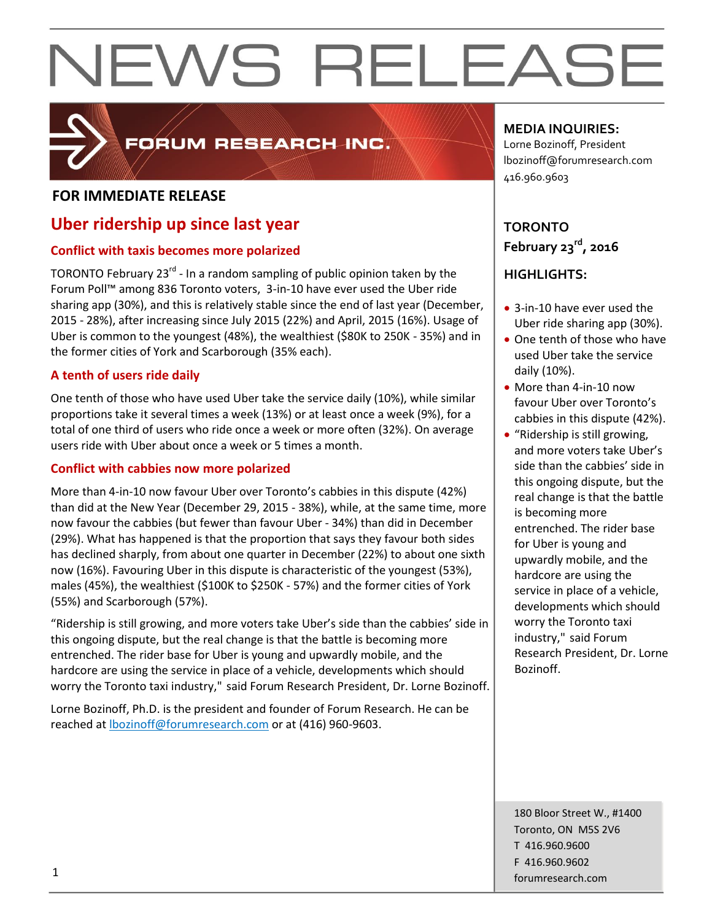

### FORUM RESEARCH INC.

#### **FOR IMMEDIATE RELEASE**

### **Uber ridership up since last year**

#### **Conflict with taxis becomes more polarized**

TORONTO February 23<sup>rd</sup> - In a random sampling of public opinion taken by the Forum Poll™ among 836 Toronto voters, 3-in-10 have ever used the Uber ride sharing app (30%), and this is relatively stable since the end of last year (December, 2015 - 28%), after increasing since July 2015 (22%) and April, 2015 (16%). Usage of Uber is common to the youngest (48%), the wealthiest (\$80K to 250K - 35%) and in the former cities of York and Scarborough (35% each).

#### **A tenth of users ride daily**

One tenth of those who have used Uber take the service daily (10%), while similar proportions take it several times a week (13%) or at least once a week (9%), for a total of one third of users who ride once a week or more often (32%). On average users ride with Uber about once a week or 5 times a month.

#### **Conflict with cabbies now more polarized**

More than 4-in-10 now favour Uber over Toronto's cabbies in this dispute (42%) than did at the New Year (December 29, 2015 - 38%), while, at the same time, more now favour the cabbies (but fewer than favour Uber - 34%) than did in December (29%). What has happened is that the proportion that says they favour both sides has declined sharply, from about one quarter in December (22%) to about one sixth now (16%). Favouring Uber in this dispute is characteristic of the youngest (53%), males (45%), the wealthiest (\$100K to \$250K - 57%) and the former cities of York (55%) and Scarborough (57%).

"Ridership is still growing, and more voters take Uber's side than the cabbies' side in this ongoing dispute, but the real change is that the battle is becoming more entrenched. The rider base for Uber is young and upwardly mobile, and the hardcore are using the service in place of a vehicle, developments which should worry the Toronto taxi industry," said Forum Research President, Dr. Lorne Bozinoff.

Lorne Bozinoff, Ph.D. is the president and founder of Forum Research. He can be reached at [lbozinoff@forumresearch.com](mailto:lbozinoff@forumresearch.com) or at (416) 960-9603.

#### **MEDIA INQUIRIES:**

Lorne Bozinoff, President lbozinoff@forumresearch.com 416.960.9603

**TORONTO February 23rd, 2016**

#### **HIGHLIGHTS:**

- 3-in-10 have ever used the Uber ride sharing app (30%).
- One tenth of those who have used Uber take the service daily (10%).
- More than 4-in-10 now favour Uber over Toronto's cabbies in this dispute (42%).
- "Ridership is still growing, and more voters take Uber's side than the cabbies' side in this ongoing dispute, but the real change is that the battle is becoming more entrenched. The rider base for Uber is young and upwardly mobile, and the hardcore are using the service in place of a vehicle, developments which should worry the Toronto taxi industry," said Forum Research President, Dr. Lorne Bozinoff.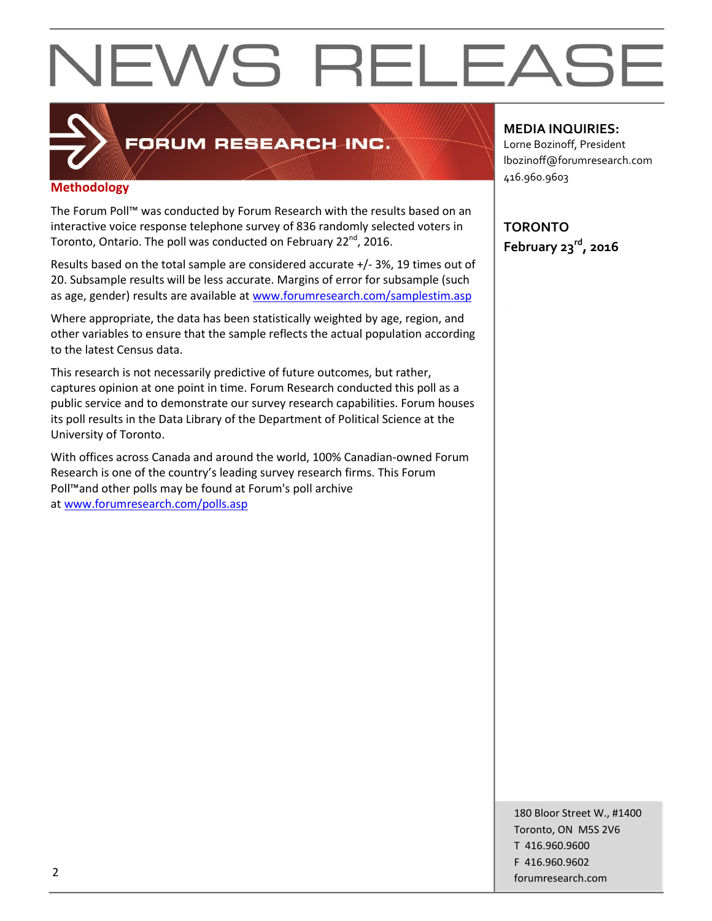

### **FORUM RESEARCH INC.**

#### **Methodology**

The Forum Poll™ was conducted by Forum Research with the results based on an interactive voice response telephone survey of 836 randomly selected voters in Toronto, Ontario. The poll was conducted on February 22<sup>nd</sup>, 2016.

Results based on the total sample are considered accurate +/- 3%, 19 times out of 20. Subsample results will be less accurate. Margins of error for subsample (such as age, gender) results are available at [www.forumresearch.com/samplestim.asp](http://www.forumresearch.com/samplestim.asp)

Where appropriate, the data has been statistically weighted by age, region, and other variables to ensure that the sample reflects the actual population according to the latest Census data.

This research is not necessarily predictive of future outcomes, but rather, captures opinion at one point in time. Forum Research conducted this poll as a public service and to demonstrate our survey research capabilities. Forum houses its poll results in the Data Library of the Department of Political Science at the University of Toronto.

With offices across Canada and around the world, 100% Canadian-owned Forum Research is one of the country's leading survey research firms. This Forum Poll™and other polls may be found at Forum's poll archive at [www.forumresearch.com/polls.asp](http://www.forumresearch.com/polls.asp)

#### **MEDIA INQUIRIES:**

Lorne Bozinoff, President lbozinoff@forumresearch.com 416.960.9603

**TORONTO February 23rd, 2016**

180 Bloor Street W., #1400 Toronto, ON M5S 2V6 T 416.960.9600 F 416.960.9602 example to the contract of the contract of the contract of the contract of the contract of the contract of the contract of the contract of the contract of the contract of the contract of the contract of the contract of the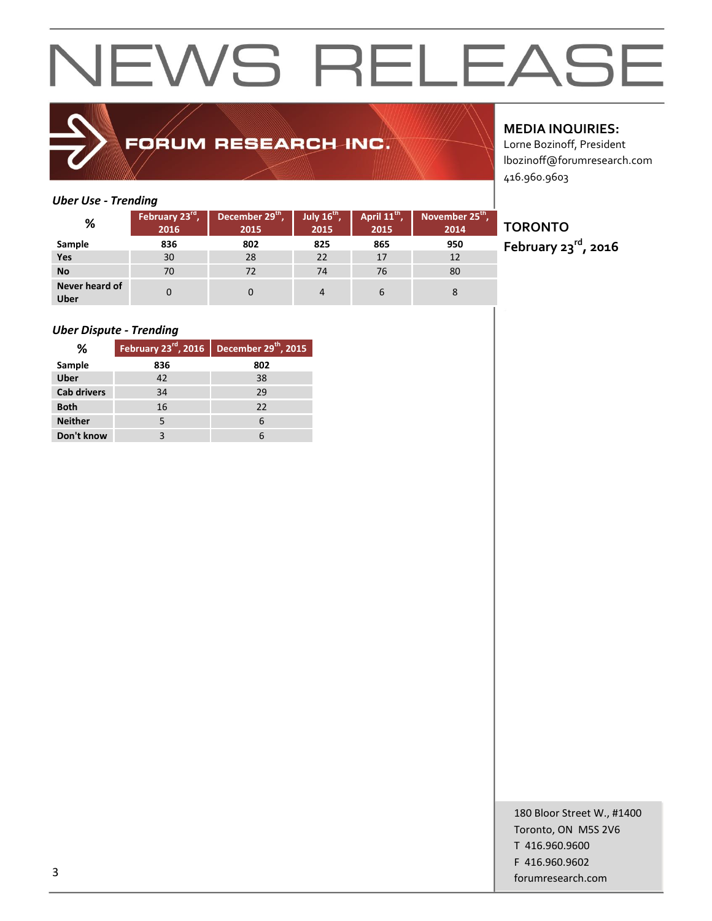

### FORUM RESEARCH INC.

#### **MEDIA INQUIRIES:**

Lorne Bozinoff, President lbozinoff@forumresearch.com 416.960.9603

#### *Uber Use - Trending*

| %                             | February 23rd<br>2016 | December 29th,<br>2015 | July $16th$ ,<br>2015 | April 11 <sup>th</sup> ,<br>2015 | November 25 <sup>th</sup> ,<br>2014 |
|-------------------------------|-----------------------|------------------------|-----------------------|----------------------------------|-------------------------------------|
| Sample                        | 836                   | 802                    | 825                   | 865                              | 950                                 |
| Yes                           | 30                    | 28                     | 22                    | 17                               | 12                                  |
| <b>No</b>                     | 70                    | 72                     | 74                    | 76                               | 80                                  |
| Never heard of<br><b>Uber</b> |                       |                        |                       | b                                | 8                                   |

#### *Uber Dispute - Trending*

| %                  | February 23rd, 2016 | December 29 <sup>th</sup> , 2015 |
|--------------------|---------------------|----------------------------------|
| Sample             | 836                 | 802                              |
| <b>Uber</b>        | 42                  | 38                               |
| <b>Cab drivers</b> | 34                  | 29                               |
| <b>Both</b>        | 16                  | 22                               |
| <b>Neither</b>     | 5                   | 6                                |
| Don't know         |                     | 6                                |

### **TORONTO**

**February 23rd, 2016**

180 Bloor Street W., #1400 Toronto, ON M5S 2V6 T 416.960.9600 F 416.960.9602 forumresearch.com and the set of the set of the set of the set of the set of the set of the set of the set of the set of the set of the set of the set of the set of the set of the set of the set of the set of the set of th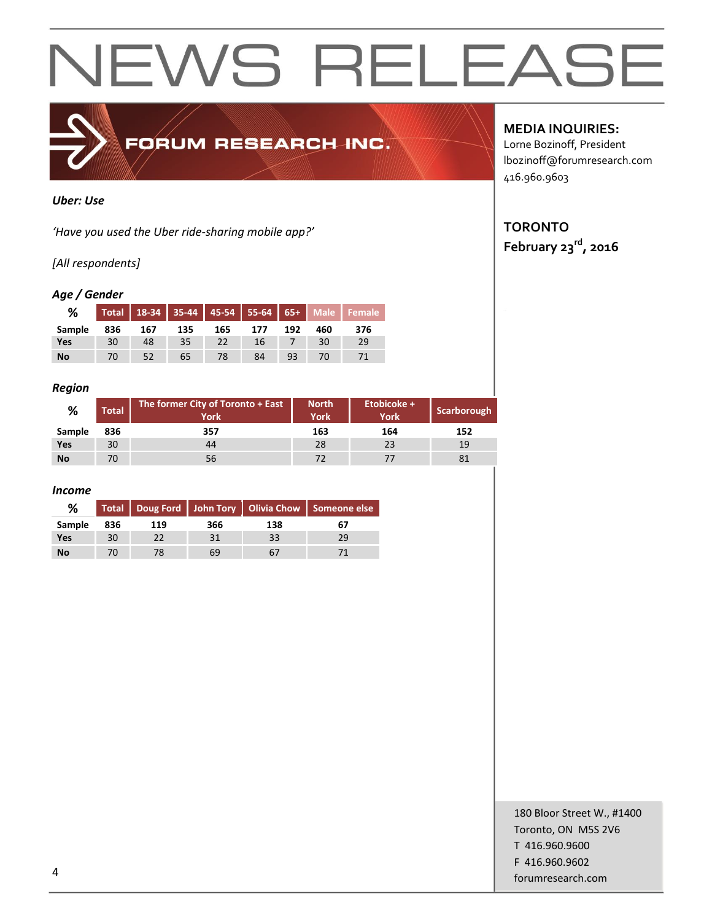

#### *Uber: Use*

*'Have you used the Uber ride-sharing mobile app?'*

#### *[All respondents]*

#### *Age / Gender*

| %      | Total |     |     |     |     |     |     | 18-34 35-44 45-54 55-64 65+ Male Female |
|--------|-------|-----|-----|-----|-----|-----|-----|-----------------------------------------|
| Sample | 836   | 167 | 135 | 165 | 177 | 192 | 460 | 376                                     |
| Yes    | 30    | 48  | 35  |     | 16  |     | 30  | 29                                      |
| No     | 70    |     | 65  |     | 84  | 93  | 70  |                                         |

#### *Region*

| %         | Total | The former City of Toronto + East<br><b>York</b> | <b>North</b><br><b>York</b> | Etobicoke +<br><b>York</b> | Scarborough |
|-----------|-------|--------------------------------------------------|-----------------------------|----------------------------|-------------|
| Sample    | 836   | 357                                              | 163                         | 164                        | 152         |
| Yes       | 30    | 44                                               | 28                          | 23                         | 19          |
| <b>No</b> | 70    | 56                                               |                             |                            | 81          |

#### *Income*

| %         |     |     |     | Total   Doug Ford   John Tory   Olivia Chow   Someone else |    |
|-----------|-----|-----|-----|------------------------------------------------------------|----|
| Sample    | 836 | 119 | 366 | 138                                                        | 67 |
| Yes       | 30  |     | 31  | 33                                                         | 29 |
| <b>No</b> | 70  | 78  | 69  |                                                            |    |

**MEDIA INQUIRIES:**

Lorne Bozinoff, President lbozinoff@forumresearch.com 416.960.9603

### **TORONTO**

**February 23rd, 2016**

180 Bloor Street W., #1400 Toronto, ON M5S 2V6 T 416.960.9600 F 416.960.9602 example to the contract of the contract of the contract of the contract of the contract of the contract of the contract of the contract of the contract of the contract of the contract of the contract of the contract of the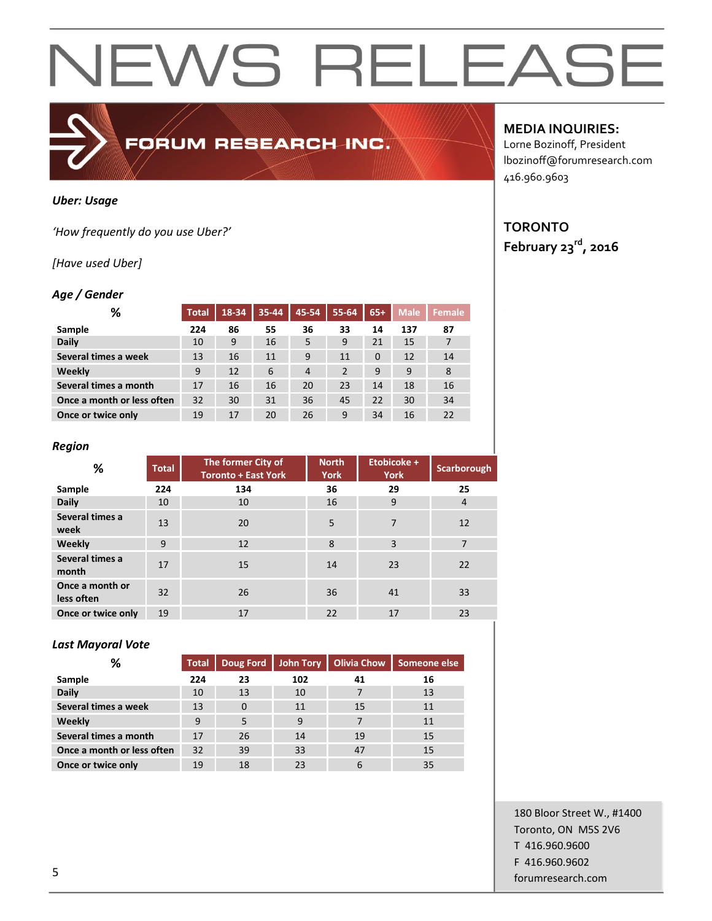#### *Uber: Usage*

*'How frequently do you use Uber?'*

#### *[Have used Uber]*

#### *Age / Gender*

| %                          | <b>Total</b> | 18-34 | 35-44 | 45-54          | 55-64          | $65+$    | <b>Male</b> | <b>Female</b> |
|----------------------------|--------------|-------|-------|----------------|----------------|----------|-------------|---------------|
| Sample                     | 224          | 86    | 55    | 36             | 33             | 14       | 137         | 87            |
| <b>Daily</b>               | 10           | 9     | 16    | 5              | 9              | 21       | 15          | 7             |
| Several times a week       | 13           | 16    | 11    | 9              | 11             | $\Omega$ | 12          | 14            |
| Weekly                     | 9            | 12    | 6     | $\overline{4}$ | $\overline{2}$ | 9        | 9           | 8             |
| Several times a month      | 17           | 16    | 16    | 20             | 23             | 14       | 18          | 16            |
| Once a month or less often | 32           | 30    | 31    | 36             | 45             | 22       | 30          | 34            |
| Once or twice only         | 19           | 17    | 20    | 26             | 9              | 34       | 16          | 22            |

FORUM RESEARCH INC.

#### *Region*

| %                             | <b>Total</b> | The former City of<br><b>Toronto + East York</b> | <b>North</b><br><b>York</b> | Etobicoke +<br><b>York</b> | Scarborough    |
|-------------------------------|--------------|--------------------------------------------------|-----------------------------|----------------------------|----------------|
| Sample                        | 224          | 134                                              | 36                          | 29                         | 25             |
| <b>Daily</b>                  | 10           | 10                                               | 16                          | 9                          | $\overline{4}$ |
| Several times a<br>week       | 13           | 20                                               | 5                           | 7                          | 12             |
| Weekly                        | 9            | 12                                               | 8                           | 3                          | $\overline{7}$ |
| Several times a<br>month      | 17           | 15                                               | 14                          | 23                         | 22             |
| Once a month or<br>less often | 32           | 26                                               | 36                          | 41                         | 33             |
| Once or twice only            | 19           | 17                                               | 22                          | 17                         | 23             |

#### *Last Mayoral Vote*

| %                          | <b>Total</b> | Doug Ford | John Tory | <b>Olivia Chow</b> | Someone else |
|----------------------------|--------------|-----------|-----------|--------------------|--------------|
| Sample                     | 224          | 23        | 102       | 41                 | 16           |
| <b>Daily</b>               | 10           | 13        | 10        |                    | 13           |
| Several times a week       | 13           | $\Omega$  | 11        | 15                 | 11           |
| Weekly                     | 9            | 5         | 9         | 7                  | 11           |
| Several times a month      | 17           | 26        | 14        | 19                 | 15           |
| Once a month or less often | 32           | 39        | 33        | 47                 | 15           |
| Once or twice only         | 19           | 18        | 23        | 6                  | 35           |

#### **MEDIA INQUIRIES:**

Lorne Bozinoff, President lbozinoff@forumresearch.com 416.960.9603

#### **TORONTO February 23rd, 2016**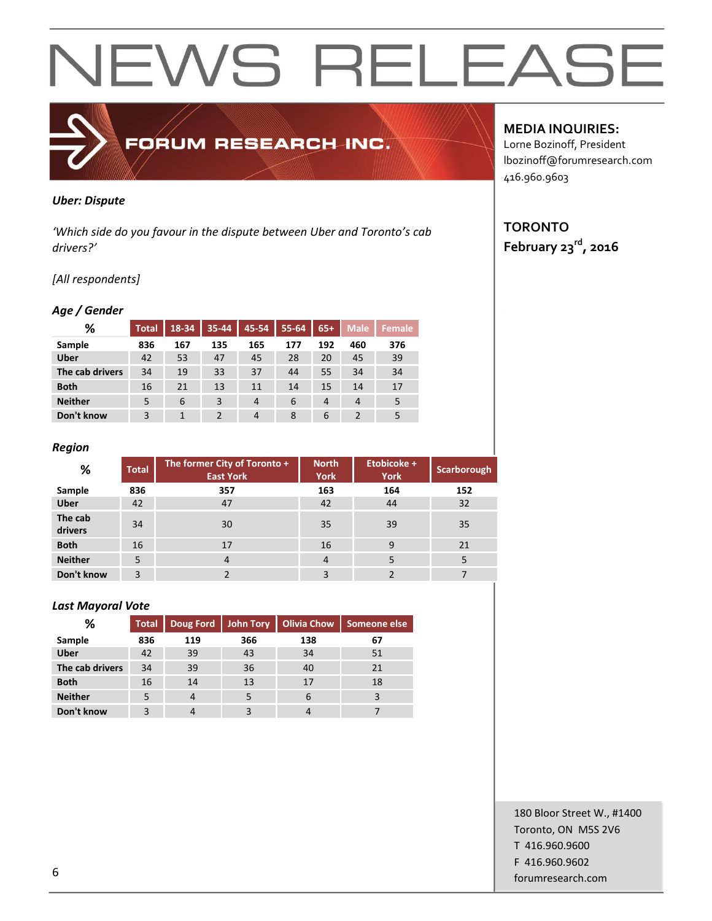## FORUM RESEARCH INC.

#### *Uber: Dispute*

*'Which side do you favour in the dispute between Uber and Toronto's cab drivers?'*

#### *[All respondents]*

#### *Age / Gender*

| ℅               | <b>Total</b> | 18-34 | 35-44 | 45-54 | 55-64 | $65+$          | <b>Male</b> | Female |
|-----------------|--------------|-------|-------|-------|-------|----------------|-------------|--------|
| Sample          | 836          | 167   | 135   | 165   | 177   | 192            | 460         | 376    |
| <b>Uber</b>     | 42           | 53    | 47    | 45    | 28    | 20             | 45          | 39     |
| The cab drivers | 34           | 19    | 33    | 37    | 44    | 55             | 34          | 34     |
| <b>Both</b>     | 16           | 21    | 13    | 11    | 14    | 15             | 14          | 17     |
| <b>Neither</b>  | 5            | 6     | 3     | 4     | 6     | $\overline{4}$ | 4           | 5      |
| Don't know      | 3            | 1     |       | 4     | 8     | 6              |             | 5      |

#### *Region*

| %                  | <b>Total</b> | The former City of Toronto +<br><b>East York</b> | <b>North</b><br><b>York</b> | Etobicoke +<br><b>York</b> | Scarborough |
|--------------------|--------------|--------------------------------------------------|-----------------------------|----------------------------|-------------|
| Sample             | 836          | 357                                              | 163                         | 164                        | 152         |
| <b>Uber</b>        | 42           | 47                                               | 42                          | 44                         | 32          |
| The cab<br>drivers | 34           | 30                                               | 35                          | 39                         | 35          |
| <b>Both</b>        | 16           | 17                                               | 16                          | 9                          | 21          |
| <b>Neither</b>     | 5            | $\overline{4}$                                   | $\overline{4}$              | 5                          |             |
| Don't know         | 3            |                                                  | 3                           |                            |             |

#### *Last Mayoral Vote*

| ℅               | <b>Total</b> |     |     | Doug Ford   John Tory   Olivia Chow | Someone else |
|-----------------|--------------|-----|-----|-------------------------------------|--------------|
| Sample          | 836          | 119 | 366 | 138                                 | 67           |
| <b>Uber</b>     | 42           | 39  | 43  | 34                                  | 51           |
| The cab drivers | 34           | 39  | 36  | 40                                  | 21           |
| <b>Both</b>     | 16           | 14  | 13  | 17                                  | 18           |
| <b>Neither</b>  |              | 4   |     | 6                                   |              |
| Don't know      |              |     |     |                                     |              |

#### **MEDIA INQUIRIES:**

Lorne Bozinoff, President lbozinoff@forumresearch.com 416.960.9603

#### **TORONTO February 23rd, 2016**